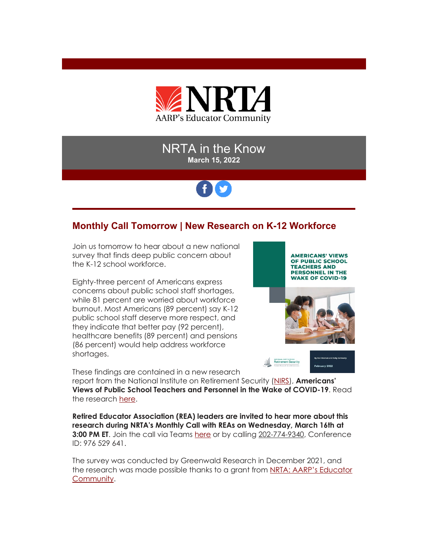

### NRTA in the Know **March 15, 2022**

# fy

## **Monthly Call Tomorrow | New Research on K-12 Workforce**

Join us tomorrow to hear about a new national survey that finds deep public concern about the K-12 school workforce.

Eighty-three percent of Americans express concerns about public school staff shortages, while 81 percent are worried about workforce burnout. Most Americans (89 percent) say K-12 public school staff deserve more respect, and they indicate that better pay (92 percent), healthcare benefits (89 percent) and pensions (86 percent) would help address workforce shortages.

**AMERICANS' VIEWS** OF PUBLIC SCHOOL **TEACHERS AND PERSONNEL IN THE WAKE OF COVID-19** 



uary 2022

NATIONAL INSTITUTE ON

These findings are contained in a new research

report from the National Institute on Retirement Security [\(NIRS\)](https://r20.rs6.net/tn.jsp?f=001TNPoQNgeIdjee_eOUTW-hbvhPeK2oIcnMcx7M2nAZ7a1SzCN-ZrYjwYpKRVrh-77krcgXpsSPXFI6QK20KFCaSBeVr-BiGBeDzlGJKnkAQeXrNtcfn19otrBL_bilSU5KP6Kob7lWbjAQ8xXwEwXmw==&c=_Ec7ZgxNukcAV8oKCo0lqBo_ac2QyqBVxllTZDQ4Bjz3JvWu14SBpg==&ch=oZiFQOOhAcngZ8UfSAKhzwcsxu-WVYGXL6HJZTNyChoHacrpw_A9gg==), **Americans' Views of Public School Teachers and Personnel in the Wake of COVID-19**. Read the research [here.](https://r20.rs6.net/tn.jsp?f=001TNPoQNgeIdjee_eOUTW-hbvhPeK2oIcnMcx7M2nAZ7a1SzCN-ZrYj5Dj2m7Akvs_Uv0uGFKYnj4dv-nyi3ybTuH9TazfkKalsPMG1fcyioKqrfxGbDzYVvcvRQ0nGwLR6mTxQX2-GkF_m6hMgrcpsdqmn0JPYNQ8Nd3LmjIQQ5OGusQ7gMBohg==&c=_Ec7ZgxNukcAV8oKCo0lqBo_ac2QyqBVxllTZDQ4Bjz3JvWu14SBpg==&ch=oZiFQOOhAcngZ8UfSAKhzwcsxu-WVYGXL6HJZTNyChoHacrpw_A9gg==)

**Retired Educator Association (REA) leaders are invited to hear more about this research during NRTA's Monthly Call with REAs on Wednesday, March 16th at 3:00 PM ET.** Join the call via Teams [here](https://r20.rs6.net/tn.jsp?f=001TNPoQNgeIdjee_eOUTW-hbvhPeK2oIcnMcx7M2nAZ7a1SzCN-ZrYj5Dj2m7Akvs_qos7_rff4Wo-PEd5cibJL5eyeDu8TaFPeonXWWIen4LuWc9CBA2mNNOTY9T_3krxKJR1Uk8Ov5dPG9TonlkT63jxxY2s3KK3CMjjAMP0dyLPjfvpxUIoTe4BK7idLk5nO9lM3StjBrcJepLj6n4GhMm8mElUzgTeUa4VZF3fJLfZD3PSPkwKZ6GhMT02wqcIWZIKZMHYui2LCIO22AEa7fDugHMDXYa8jmol5oFXFi5hSPX2jeoSpyBLElGnNSGHt82RLbQIpQ2pp8JOLNPNaHmdvxZzVJdrIFNmTNnM7iPIKuDg0UzFLI2SUHvujwh2pkcI5-f9nfL9FDyyQapzPFBDUv3YEUwRBS3cg3TReUIFOts95kGbDS3hzC_hWfy-GglIeHyLze1Lcyd6x1TxYvZU2cKZupBcPASUAx5aPpWRRSWwKX7xhjdW6KYXsaZovk3xwuEv1YHUNd3Q-y10GkoJPFoDGVIDyPl3OX3ZVQDwnmMmnKwwOh93fh4JyuZPa75SJ24N4boKn-5FdNgu4_dxqFtqNMW-borIDlnybL06Pku4M_35HKApgDTl5owIECukOSI_va78JpcFUJaEMGilRZC5RNH6ink20-G7f0eFT1iagED1YSpnsl1qxouRV-W9BnxU4q7hQXeW_JLebUnr4ADXh84jymqmdzHjgAq5wnMJKJGaMrtKGOaETCVLNxNiGcUWL5O7UAwlsuSl0eUZAdWM_WqETCoej4SmXTtfAJvqLl2uwN9NTmQLkCb7dYxzk4Hy2bA=&c=_Ec7ZgxNukcAV8oKCo0lqBo_ac2QyqBVxllTZDQ4Bjz3JvWu14SBpg==&ch=oZiFQOOhAcngZ8UfSAKhzwcsxu-WVYGXL6HJZTNyChoHacrpw_A9gg==) or by calling 202-774-9340, Conference ID: 976 529 641.

The survey was conducted by Greenwald Research in December 2021, and the research was made possible thanks to a grant from [NRTA: AARP's Educator](https://r20.rs6.net/tn.jsp?f=001TNPoQNgeIdjee_eOUTW-hbvhPeK2oIcnMcx7M2nAZ7a1SzCN-ZrYj8KbC_Yb3-N3YMgTqOdyG_Fq0gg3scvjX0_S-3Mh5hDpL9-7LMlVGQIkp1Q20TbQ8oXxvOdNZQDSGVF7JFlfQD0dXsiBL-fkQbkJAu4oSQYfmlTC4D_TusA=&c=_Ec7ZgxNukcAV8oKCo0lqBo_ac2QyqBVxllTZDQ4Bjz3JvWu14SBpg==&ch=oZiFQOOhAcngZ8UfSAKhzwcsxu-WVYGXL6HJZTNyChoHacrpw_A9gg==)  [Community.](https://r20.rs6.net/tn.jsp?f=001TNPoQNgeIdjee_eOUTW-hbvhPeK2oIcnMcx7M2nAZ7a1SzCN-ZrYj8KbC_Yb3-N3YMgTqOdyG_Fq0gg3scvjX0_S-3Mh5hDpL9-7LMlVGQIkp1Q20TbQ8oXxvOdNZQDSGVF7JFlfQD0dXsiBL-fkQbkJAu4oSQYfmlTC4D_TusA=&c=_Ec7ZgxNukcAV8oKCo0lqBo_ac2QyqBVxllTZDQ4Bjz3JvWu14SBpg==&ch=oZiFQOOhAcngZ8UfSAKhzwcsxu-WVYGXL6HJZTNyChoHacrpw_A9gg==)